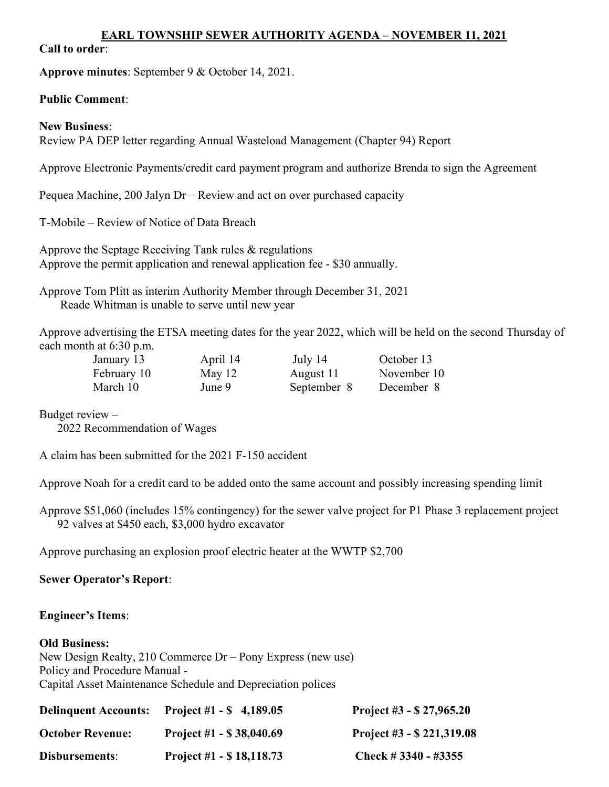### EARL TOWNSHIP SEWER AUTHORITY AGENDA – NOVEMBER 11, 2021

### Call to order:

Approve minutes: September 9 & October 14, 2021.

### Public Comment:

### New Business:

Review PA DEP letter regarding Annual Wasteload Management (Chapter 94) Report

Approve Electronic Payments/credit card payment program and authorize Brenda to sign the Agreement

Pequea Machine, 200 Jalyn Dr – Review and act on over purchased capacity

T-Mobile – Review of Notice of Data Breach

Approve the Septage Receiving Tank rules & regulations Approve the permit application and renewal application fee - \$30 annually.

Approve Tom Plitt as interim Authority Member through December 31, 2021 Reade Whitman is unable to serve until new year

Approve advertising the ETSA meeting dates for the year 2022, which will be held on the second Thursday of each month at 6:30 p.m.

| January 13  | April 14 | July 14     | October 13  |
|-------------|----------|-------------|-------------|
| February 10 | May $12$ | August 11   | November 10 |
| March 10    | June 9   | September 8 | December 8  |

Budget review –

2022 Recommendation of Wages

A claim has been submitted for the 2021 F-150 accident

Approve Noah for a credit card to be added onto the same account and possibly increasing spending limit

Approve \$51,060 (includes 15% contingency) for the sewer valve project for P1 Phase 3 replacement project 92 valves at \$450 each, \$3,000 hydro excavator

Approve purchasing an explosion proof electric heater at the WWTP \$2,700

# Sewer Operator's Report:

# Engineer's Items:

#### Old Business:

New Design Realty, 210 Commerce Dr – Pony Express (new use) Policy and Procedure Manual - Capital Asset Maintenance Schedule and Depreciation polices

| <b>Delinquent Accounts:</b> | Project #1 - $\frac{1}{2}$ 4,189.05 | Project #3 $-$ \$ 27,965.20  |
|-----------------------------|-------------------------------------|------------------------------|
| <b>October Revenue:</b>     | Project #1 $-$ \$ 38,040.69         | Project #3 $-$ \$ 221,319.08 |
| Disbursements:              | Project #1 $-$ \$ 18,118.73         | Check # $3340 - 43355$       |